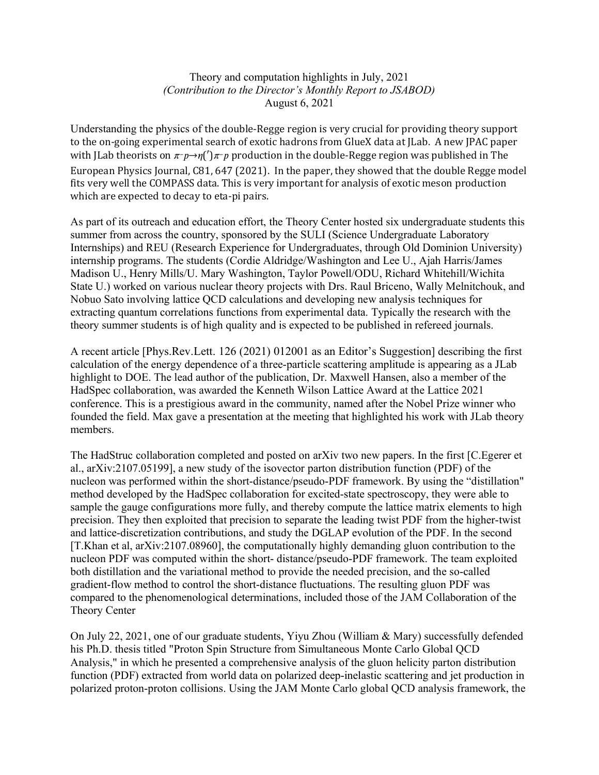## Theory and computation highlights in July, 2021 *(Contribution to the Director's Monthly Report to JSABOD)* August 6, 2021

Understanding the physics of the double-Regge region is very crucial for providing theory support to the on-going experimental search of exotic hadrons from GlueX data at [Lab. A new [PAC paper with JLab theorists on  $\pi^-p\rightarrow\eta(')\pi^-p$  production in the double-Regge region was published in The European Physics Journal, C81, 647 (2021). In the paper, they showed that the double Regge model fits very well the COMPASS data. This is very important for analysis of exotic meson production which are expected to decay to eta-pi pairs.

As part of its outreach and education effort, the Theory Center hosted six undergraduate students this summer from across the country, sponsored by the SULI (Science Undergraduate Laboratory Internships) and REU (Research Experience for Undergraduates, through Old Dominion University) internship programs. The students (Cordie Aldridge/Washington and Lee U., Ajah Harris/James Madison U., Henry Mills/U. Mary Washington, Taylor Powell/ODU, Richard Whitehill/Wichita State U.) worked on various nuclear theory projects with Drs. Raul Briceno, Wally Melnitchouk, and Nobuo Sato involving lattice QCD calculations and developing new analysis techniques for extracting quantum correlations functions from experimental data. Typically the research with the theory summer students is of high quality and is expected to be published in refereed journals.

A recent article [Phys.Rev.Lett. 126 (2021) 012001 as an Editor's Suggestion] describing the first calculation of the energy dependence of a three-particle scattering amplitude is appearing as a JLab highlight to DOE. The lead author of the publication, Dr. Maxwell Hansen, also a member of the HadSpec collaboration, was awarded the Kenneth Wilson Lattice Award at the Lattice 2021 conference. This is a prestigious award in the community, named after the Nobel Prize winner who founded the field. Max gave a presentation at the meeting that highlighted his work with JLab theory members.

The HadStruc collaboration completed and posted on arXiv two new papers. In the first [C.Egerer et al., arXiv:2107.05199], a new study of the isovector parton distribution function (PDF) of the nucleon was performed within the short-distance/pseudo-PDF framework. By using the "distillation" method developed by the HadSpec collaboration for excited-state spectroscopy, they were able to sample the gauge configurations more fully, and thereby compute the lattice matrix elements to high precision. They then exploited that precision to separate the leading twist PDF from the higher-twist and lattice-discretization contributions, and study the DGLAP evolution of the PDF. In the second [T.Khan et al, arXiv:2107.08960], the computationally highly demanding gluon contribution to the nucleon PDF was computed within the short- distance/pseudo-PDF framework. The team exploited both distillation and the variational method to provide the needed precision, and the so-called gradient-flow method to control the short-distance fluctuations. The resulting gluon PDF was compared to the phenomenological determinations, included those of the JAM Collaboration of the Theory Center

On July 22, 2021, one of our graduate students, Yiyu Zhou (William & Mary) successfully defended his Ph.D. thesis titled "Proton Spin Structure from Simultaneous Monte Carlo Global QCD Analysis," in which he presented a comprehensive analysis of the gluon helicity parton distribution function (PDF) extracted from world data on polarized deep-inelastic scattering and jet production in polarized proton-proton collisions. Using the JAM Monte Carlo global QCD analysis framework, the